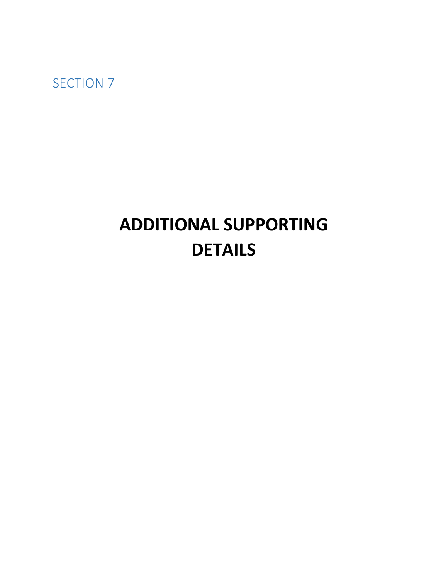SECTION<sub>7</sub>

# **ADDITIONAL SUPPORTING DETAILS**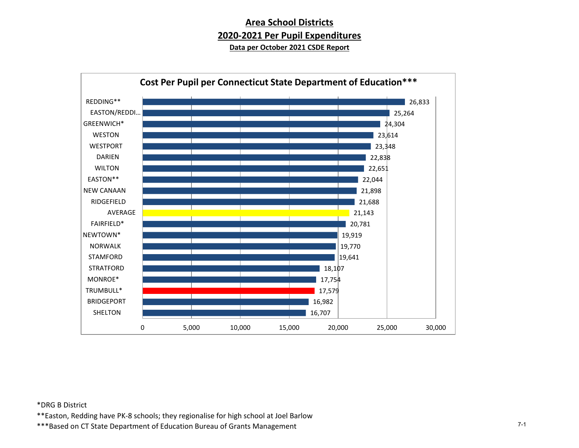# **Area School Districts 2020-2021 Per Pupil Expenditures Data per October 2021 CSDE Report**



#### \*DRG B District

\*\*Easton, Redding have PK-8 schools; they regionalise for high school at Joel Barlow

\*\*\*Based on CT State Department of Education Bureau of Grants Management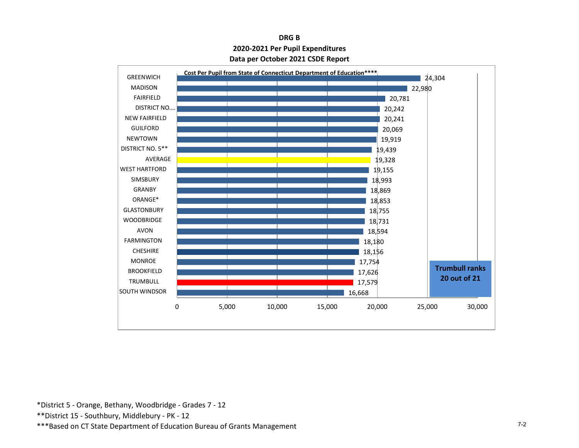# **DRG B 2020-2021 Per Pupil Expenditures Data per October 2021 CSDE Report**



\*District 5 - Orange, Bethany, Woodbridge - Grades 7 - 12

\*\*District 15 - Southbury, Middlebury - PK - 12

\*\*\*Based on CT State Department of Education Bureau of Grants Management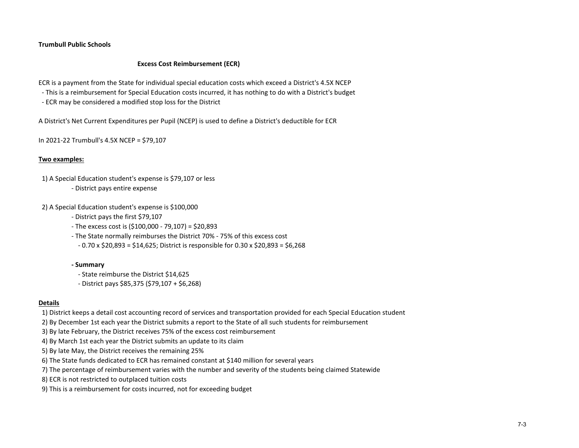#### **Trumbull Public Schools**

#### **Excess Cost Reimbursement (ECR)**

ECR is a payment from the State for individual special education costs which exceed a District's 4.5X NCEP

- This is a reimbursement for Special Education costs incurred, it has nothing to do with a District's budget
- ECR may be considered a modified stop loss for the District

A District's Net Current Expenditures per Pupil (NCEP) is used to define a District's deductible for ECR

In 2021-22 Trumbull's 4.5X NCEP = \$79,107

#### **Two examples:**

- 1) A Special Education student's expense is \$79,107 or less
	- District pays entire expense

2) A Special Education student's expense is \$100,000

- District pays the first \$79,107
- The excess cost is (\$100,000 79,107) = \$20,893
- The State normally reimburses the District 70% 75% of this excess cost
- 0.70 x \$20,893 = \$14,625; District is responsible for 0.30 x \$20,893 = \$6,268

#### **- Summary**

- State reimburse the District \$14,625
- District pays \$85,375 (\$79,107 + \$6,268)

#### **Details**

- 1) District keeps a detail cost accounting record of services and transportation provided for each Special Education student
- 2) By December 1st each year the District submits a report to the State of all such students for reimbursement
- 3) By late February, the District receives 75% of the excess cost reimbursement
- 4) By March 1st each year the District submits an update to its claim
- 5) By late May, the District receives the remaining 25%
- 6) The State funds dedicated to ECR has remained constant at \$140 million for several years
- 7) The percentage of reimbursement varies with the number and severity of the students being claimed Statewide
- 8) ECR is not restricted to outplaced tuition costs
- 9) This is a reimbursement for costs incurred, not for exceeding budget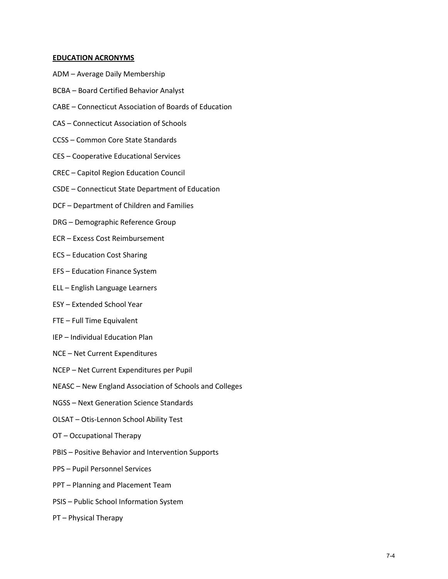#### **EDUCATION ACRONYMS**

- ADM Average Daily Membership
- BCBA Board Certified Behavior Analyst
- CABE Connecticut Association of Boards of Education
- CAS Connecticut Association of Schools
- CCSS Common Core State Standards
- CES Cooperative Educational Services
- CREC Capitol Region Education Council
- CSDE Connecticut State Department of Education
- DCF Department of Children and Families
- DRG Demographic Reference Group
- ECR Excess Cost Reimbursement
- ECS Education Cost Sharing
- EFS Education Finance System
- ELL English Language Learners
- ESY Extended School Year
- FTE Full Time Equivalent
- IEP Individual Education Plan
- NCE Net Current Expenditures
- NCEP Net Current Expenditures per Pupil
- NEASC New England Association of Schools and Colleges
- NGSS Next Generation Science Standards
- OLSAT Otis-Lennon School Ability Test
- OT Occupational Therapy
- PBIS Positive Behavior and Intervention Supports
- PPS Pupil Personnel Services
- PPT Planning and Placement Team
- PSIS Public School Information System
- PT Physical Therapy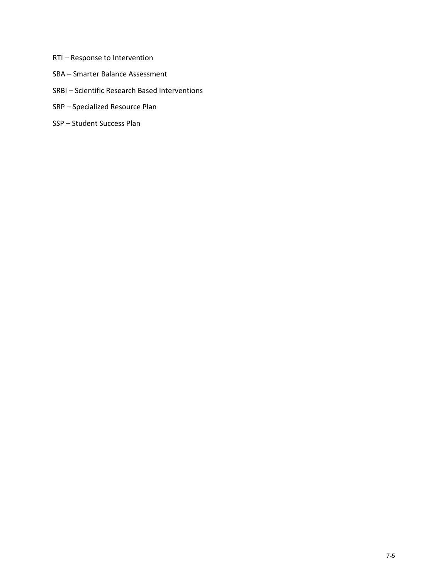- RTI Response to Intervention
- SBA Smarter Balance Assessment
- SRBI Scientific Research Based Interventions
- SRP Specialized Resource Plan
- SSP Student Success Plan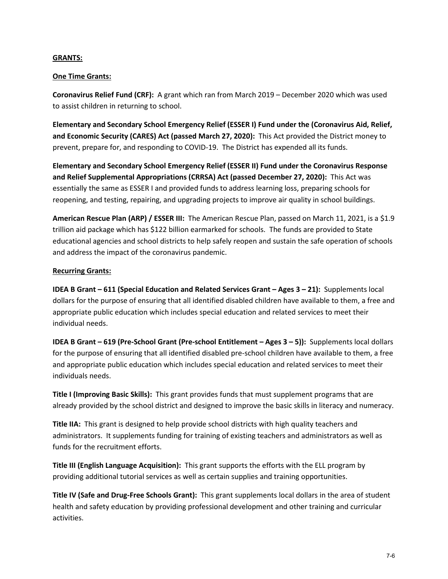### **GRANTS:**

# **One Time Grants:**

**Coronavirus Relief Fund (CRF):** A grant which ran from March 2019 – December 2020 which was used to assist children in returning to school.

**Elementary and Secondary School Emergency Relief (ESSER I) Fund under the (Coronavirus Aid, Relief, and Economic Security (CARES) Act (passed March 27, 2020):** This Act provided the District money to prevent, prepare for, and responding to COVID-19. The District has expended all its funds.

**Elementary and Secondary School Emergency Relief (ESSER II) Fund under the Coronavirus Response and Relief Supplemental Appropriations (CRRSA) Act (passed December 27, 2020):** This Act was essentially the same as ESSER I and provided funds to address learning loss, preparing schools for reopening, and testing, repairing, and upgrading projects to improve air quality in school buildings.

**American Rescue Plan (ARP) / ESSER III:** The American Rescue Plan, passed on March 11, 2021, is a \$1.9 trillion aid package which has \$122 billion earmarked for schools. The funds are provided to State educational agencies and school districts to help safely reopen and sustain the safe operation of schools and address the impact of the coronavirus pandemic.

# **Recurring Grants:**

**IDEA B Grant – 611 (Special Education and Related Services Grant – Ages 3 – 21):** Supplements local dollars for the purpose of ensuring that all identified disabled children have available to them, a free and appropriate public education which includes special education and related services to meet their individual needs.

**IDEA B Grant – 619 (Pre-School Grant (Pre-school Entitlement – Ages 3 – 5)):** Supplements local dollars for the purpose of ensuring that all identified disabled pre-school children have available to them, a free and appropriate public education which includes special education and related services to meet their individuals needs.

**Title I (Improving Basic Skills):** This grant provides funds that must supplement programs that are already provided by the school district and designed to improve the basic skills in literacy and numeracy.

**Title IIA:** This grant is designed to help provide school districts with high quality teachers and administrators. It supplements funding for training of existing teachers and administrators as well as funds for the recruitment efforts.

**Title III (English Language Acquisition):** This grant supports the efforts with the ELL program by providing additional tutorial services as well as certain supplies and training opportunities.

**Title IV (Safe and Drug-Free Schools Grant):** This grant supplements local dollars in the area of student health and safety education by providing professional development and other training and curricular activities.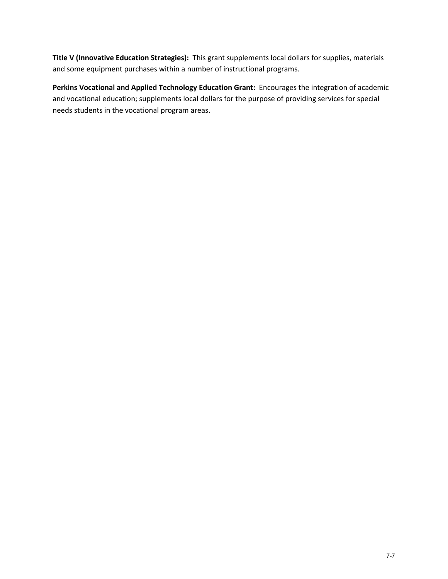**Title V (Innovative Education Strategies):** This grant supplements local dollars for supplies, materials and some equipment purchases within a number of instructional programs.

**Perkins Vocational and Applied Technology Education Grant:** Encourages the integration of academic and vocational education; supplements local dollars for the purpose of providing services for special needs students in the vocational program areas.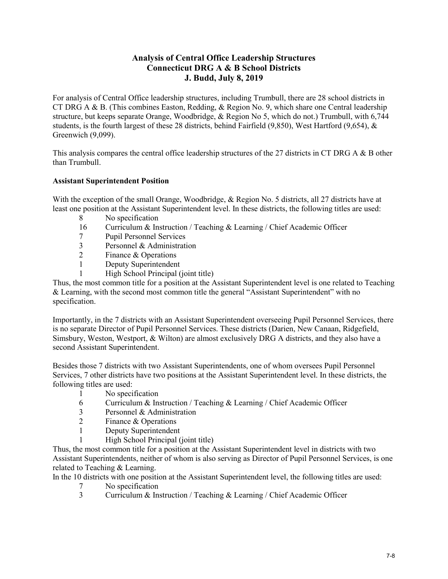# **Analysis of Central Office Leadership Structures Connecticut DRG A & B School Districts J. Budd, July 8, 2019**

For analysis of Central Office leadership structures, including Trumbull, there are 28 school districts in CT DRG A & B. (This combines Easton, Redding, & Region No. 9, which share one Central leadership structure, but keeps separate Orange, Woodbridge, & Region No 5, which do not.) Trumbull, with 6,744 students, is the fourth largest of these 28 districts, behind Fairfield (9,850), West Hartford (9,654), & Greenwich (9,099).

This analysis compares the central office leadership structures of the 27 districts in CT DRG A & B other than Trumbull.

# **Assistant Superintendent Position**

With the exception of the small Orange, Woodbridge, & Region No. 5 districts, all 27 districts have at least one position at the Assistant Superintendent level. In these districts, the following titles are used:

- 8 No specification
- 16 Curriculum & Instruction / Teaching & Learning / Chief Academic Officer
- 7 Pupil Personnel Services
- 3 Personnel & Administration
- 2 Finance & Operations
- 1 Deputy Superintendent
- 1 High School Principal (joint title)

Thus, the most common title for a position at the Assistant Superintendent level is one related to Teaching & Learning, with the second most common title the general "Assistant Superintendent" with no specification.

Importantly, in the 7 districts with an Assistant Superintendent overseeing Pupil Personnel Services, there is no separate Director of Pupil Personnel Services. These districts (Darien, New Canaan, Ridgefield, Simsbury, Weston, Westport, & Wilton) are almost exclusively DRG A districts, and they also have a second Assistant Superintendent.

Besides those 7 districts with two Assistant Superintendents, one of whom oversees Pupil Personnel Services, 7 other districts have two positions at the Assistant Superintendent level. In these districts, the following titles are used:

- 1 No specification<br>6 Curriculum & Ins
- 6 Curriculum & Instruction / Teaching & Learning / Chief Academic Officer
- 3 Personnel & Administration
- 2 Finance & Operations
- 1 Deputy Superintendent
- 1 High School Principal (joint title)

Thus, the most common title for a position at the Assistant Superintendent level in districts with two Assistant Superintendents, neither of whom is also serving as Director of Pupil Personnel Services, is one related to Teaching & Learning.

In the 10 districts with one position at the Assistant Superintendent level, the following titles are used:

- 7 No specification<br>3 Curriculum & Ins
- 3 Curriculum & Instruction / Teaching & Learning / Chief Academic Officer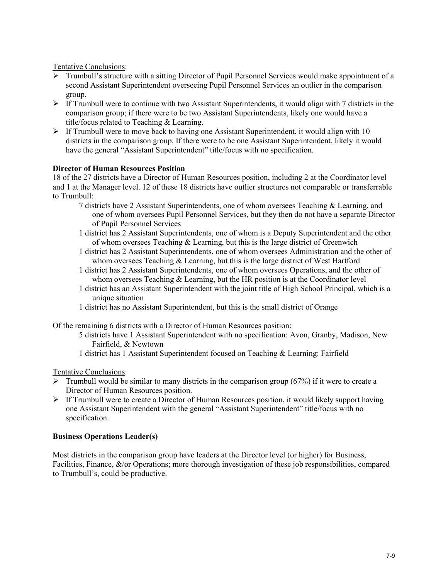Tentative Conclusions:

- Trumbull's structure with a sitting Director of Pupil Personnel Services would make appointment of a second Assistant Superintendent overseeing Pupil Personnel Services an outlier in the comparison group.
- $\triangleright$  If Trumbull were to continue with two Assistant Superintendents, it would align with 7 districts in the comparison group; if there were to be two Assistant Superintendents, likely one would have a title/focus related to Teaching & Learning.
- $\triangleright$  If Trumbull were to move back to having one Assistant Superintendent, it would align with 10 districts in the comparison group. If there were to be one Assistant Superintendent, likely it would have the general "Assistant Superintendent" title/focus with no specification.

# **Director of Human Resources Position**

18 of the 27 districts have a Director of Human Resources position, including 2 at the Coordinator level and 1 at the Manager level. 12 of these 18 districts have outlier structures not comparable or transferrable to Trumbull:

- 7 districts have 2 Assistant Superintendents, one of whom oversees Teaching & Learning, and one of whom oversees Pupil Personnel Services, but they then do not have a separate Director of Pupil Personnel Services
- 1 district has 2 Assistant Superintendents, one of whom is a Deputy Superintendent and the other of whom oversees Teaching  $&$  Learning, but this is the large district of Greenwich
- 1 district has 2 Assistant Superintendents, one of whom oversees Administration and the other of whom oversees Teaching & Learning, but this is the large district of West Hartford
- 1 district has 2 Assistant Superintendents, one of whom oversees Operations, and the other of whom oversees Teaching & Learning, but the HR position is at the Coordinator level
- 1 district has an Assistant Superintendent with the joint title of High School Principal, which is a unique situation
- 1 district has no Assistant Superintendent, but this is the small district of Orange

Of the remaining 6 districts with a Director of Human Resources position:

- 5 districts have 1 Assistant Superintendent with no specification: Avon, Granby, Madison, New Fairfield, & Newtown
- 1 district has 1 Assistant Superintendent focused on Teaching & Learning: Fairfield

Tentative Conclusions:

- $\triangleright$  Trumbull would be similar to many districts in the comparison group (67%) if it were to create a Director of Human Resources position.
- $\triangleright$  If Trumbull were to create a Director of Human Resources position, it would likely support having one Assistant Superintendent with the general "Assistant Superintendent" title/focus with no specification.

# **Business Operations Leader(s)**

Most districts in the comparison group have leaders at the Director level (or higher) for Business, Facilities, Finance, &/or Operations; more thorough investigation of these job responsibilities, compared to Trumbull's, could be productive.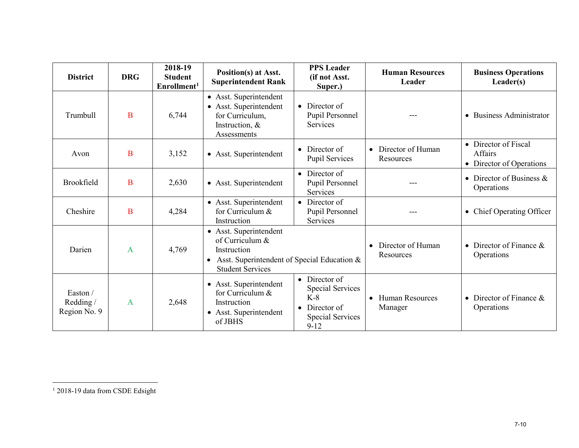<span id="page-10-0"></span>

| <b>District</b>                     | <b>DRG</b>     | 2018-19<br><b>Student</b><br>Enrollment <sup>1</sup> | Position(s) at Asst.<br><b>Superintendent Rank</b>                                                                                 | <b>PPS</b> Leader<br>(if not Asst.<br>Super.)                                                                             | <b>Human Resources</b><br>Leader               | <b>Business Operations</b><br>Leader(s)                            |
|-------------------------------------|----------------|------------------------------------------------------|------------------------------------------------------------------------------------------------------------------------------------|---------------------------------------------------------------------------------------------------------------------------|------------------------------------------------|--------------------------------------------------------------------|
| Trumbull                            | B              | 6,744                                                | • Asst. Superintendent<br>• Asst. Superintendent<br>for Curriculum,<br>Instruction, &<br>Assessments                               | • Director of<br>Pupil Personnel<br>Services                                                                              | ---                                            | <b>Business Administrator</b><br>$\bullet$                         |
| Avon                                | B              | 3,152                                                | • Asst. Superintendent                                                                                                             | $\bullet$ Director of<br><b>Pupil Services</b>                                                                            | Director of Human<br>$\bullet$<br>Resources    | • Director of Fiscal<br><b>Affairs</b><br>• Director of Operations |
| Brookfield                          | B              | 2,630                                                | • Asst. Superintendent                                                                                                             | • Director of<br>Pupil Personnel<br>Services                                                                              |                                                | • Director of Business $\&$<br>Operations                          |
| Cheshire                            | B              | 4,284                                                | • Asst. Superintendent<br>for Curriculum &<br>Instruction                                                                          | • Director of<br>Pupil Personnel<br>Services                                                                              |                                                | Chief Operating Officer<br>$\bullet$                               |
| Darien                              | $\mathbf{A}$   | 4,769                                                | • Asst. Superintendent<br>of Curriculum &<br>Instruction<br>Asst. Superintendent of Special Education &<br><b>Student Services</b> |                                                                                                                           | Director of Human<br>Resources                 | Director of Finance $\&$<br>Operations                             |
| Easton/<br>Redding/<br>Region No. 9 | $\overline{A}$ | 2,648                                                | • Asst. Superintendent<br>for Curriculum &<br>Instruction<br>• Asst. Superintendent<br>of JBHS                                     | $\bullet$ Director of<br><b>Special Services</b><br>$K-8$<br>$\bullet$ Director of<br><b>Special Services</b><br>$9 - 12$ | <b>Human Resources</b><br>$\bullet$<br>Manager | Director of Finance $\&$<br>$\bullet$<br>Operations                |

l

<sup>&</sup>lt;sup>1</sup> 2018-19 data from CSDE Edsight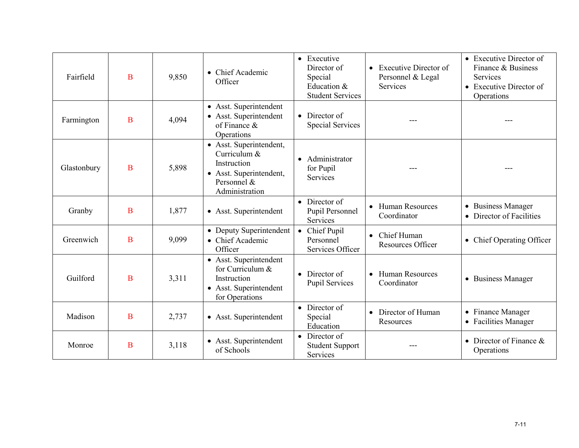| Fairfield   | B | 9,850 | • Chief Academic<br>Officer                                                                                        | • Executive<br>Director of<br>Special<br>Education &<br><b>Student Services</b> | <b>Executive Director of</b><br>$\bullet$<br>Personnel & Legal<br>Services | • Executive Director of<br>Finance & Business<br>Services<br>• Executive Director of<br>Operations |
|-------------|---|-------|--------------------------------------------------------------------------------------------------------------------|---------------------------------------------------------------------------------|----------------------------------------------------------------------------|----------------------------------------------------------------------------------------------------|
| Farmington  | B | 4,094 | • Asst. Superintendent<br>• Asst. Superintendent<br>of Finance $\&$<br>Operations                                  | • Director of<br><b>Special Services</b>                                        | $- - -$                                                                    | ---                                                                                                |
| Glastonbury | B | 5,898 | • Asst. Superintendent,<br>Curriculum &<br>Instruction<br>• Asst. Superintendent,<br>Personnel &<br>Administration | Administrator<br>for Pupil<br><b>Services</b>                                   | ---                                                                        | ---                                                                                                |
| Granby      | B | 1,877 | • Asst. Superintendent                                                                                             | $\bullet$ Director of<br>Pupil Personnel<br>Services                            | • Human Resources<br>Coordinator                                           | • Business Manager<br>Director of Facilities                                                       |
| Greenwich   | B | 9,099 | • Deputy Superintendent<br>• Chief Academic<br>Officer                                                             | • Chief Pupil<br>Personnel<br>Services Officer                                  | Chief Human<br>$\bullet$<br><b>Resources Officer</b>                       | • Chief Operating Officer                                                                          |
| Guilford    | B | 3,311 | • Asst. Superintendent<br>for Curriculum &<br>Instruction<br>• Asst. Superintendent<br>for Operations              | $\bullet$ Director of<br>Pupil Services                                         | <b>Human Resources</b><br>$\bullet$<br>Coordinator                         | • Business Manager                                                                                 |
| Madison     | B | 2,737 | • Asst. Superintendent                                                                                             | • Director of<br>Special<br>Education                                           | Director of Human<br>$\bullet$<br>Resources                                | • Finance Manager<br><b>Facilities Manager</b><br>$\bullet$                                        |
| Monroe      | B | 3,118 | • Asst. Superintendent<br>of Schools                                                                               | $\bullet$ Director of<br><b>Student Support</b><br>Services                     |                                                                            | Director of Finance &<br>Operations                                                                |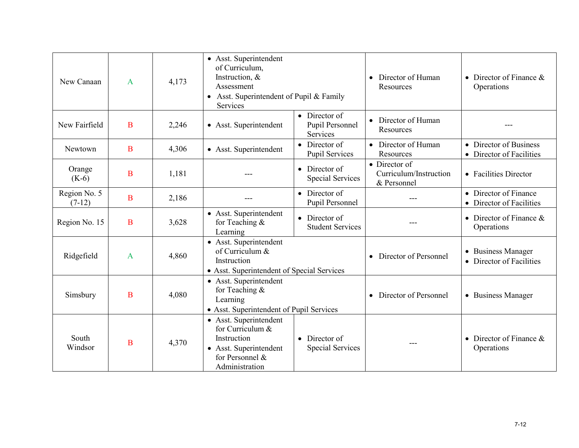| New Canaan               | $\mathbf{A}$ | 4,173 | • Asst. Superintendent<br>of Curriculum,<br>Instruction, &<br>Assessment<br>Asst. Superintendent of Pupil & Family<br>$\bullet$<br>Services |                                                             | Director of Human<br>Resources                                 | • Director of Finance $&$<br>Operations             |
|--------------------------|--------------|-------|---------------------------------------------------------------------------------------------------------------------------------------------|-------------------------------------------------------------|----------------------------------------------------------------|-----------------------------------------------------|
| New Fairfield            | B            | 2,246 | • Asst. Superintendent                                                                                                                      | $\bullet$ Director of<br>Pupil Personnel<br><b>Services</b> | • Director of Human<br>Resources                               |                                                     |
| Newtown                  | B            | 4,306 | • Asst. Superintendent                                                                                                                      | $\bullet$ Director of<br><b>Pupil Services</b>              | • Director of Human<br>Resources                               | • Director of Business<br>• Director of Facilities  |
| Orange<br>$(K-6)$        | B            | 1,181 |                                                                                                                                             | $\bullet$ Director of<br>Special Services                   | $\bullet$ Director of<br>Curriculum/Instruction<br>& Personnel | • Facilities Director                               |
| Region No. 5<br>$(7-12)$ | $\bf{B}$     | 2,186 |                                                                                                                                             | • Director of<br>Pupil Personnel                            | ---                                                            | • Director of Finance<br>• Director of Facilities   |
| Region No. 15            | B            | 3,628 | • Asst. Superintendent<br>for Teaching &<br>Learning                                                                                        | $\bullet$ Director of<br><b>Student Services</b>            | ---                                                            | • Director of Finance $\&$<br>Operations            |
| Ridgefield               | A            | 4,860 | • Asst. Superintendent<br>of Curriculum &<br>Instruction<br>• Asst. Superintendent of Special Services                                      |                                                             | Director of Personnel                                          | • Business Manager<br><b>Director of Facilities</b> |
| Simsbury                 | B            | 4,080 | • Asst. Superintendent<br>for Teaching &<br>Learning<br>• Asst. Superintendent of Pupil Services                                            |                                                             | Director of Personnel                                          | • Business Manager                                  |
| South<br>Windsor         | B            | 4,370 | • Asst. Superintendent<br>for Curriculum &<br>Instruction<br>• Asst. Superintendent<br>for Personnel &<br>Administration                    | $\bullet$ Director of<br>Special Services                   | ---                                                            | • Director of Finance $&$<br>Operations             |